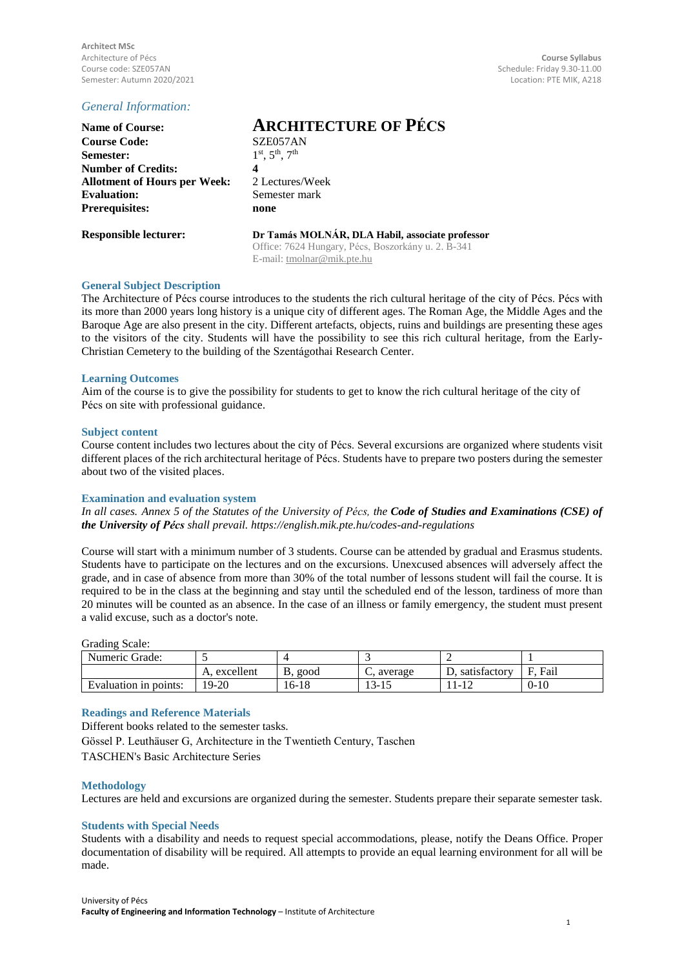**Architect MSc** Architecture of Pécs **Course Syllabus** Semester: Autumn 2020/2021

# *General Information:*

| <b>Name of Course:</b>              | AR                        |
|-------------------------------------|---------------------------|
| <b>Course Code:</b>                 | SZE <sub>0</sub>          |
| Semester:                           | $1^{st}$ , 5 <sup>t</sup> |
| <b>Number of Credits:</b>           | 4                         |
| <b>Allotment of Hours per Week:</b> | 2 Lec                     |
| <b>Evaluation:</b>                  | Seme                      |
| <b>Prerequisites:</b>               | none                      |
|                                     |                           |

# **Name of Course: ARCHITECTURE OF PÉCS**

**Course Code:** SZE057AN  $\mathrm{^{st}, 5^{th}, 7^{th}}$ **Allotment of Hours per Week:** 2 Lectures/Week **Evaluation:** Semester mark

**Responsible lecturer: Dr Tamás MOLNÁR, DLA Habil, associate professor** Office: 7624 Hungary, Pécs, Boszorkány u. 2. B-341 E-mail: [tmolnar@mik.pte.hu](mailto:tmolnar@mik.pte.hu)

## **General Subject Description**

The Architecture of Pécs course introduces to the students the rich cultural heritage of the city of Pécs. Pécs with its more than 2000 years long history is a unique city of different ages. The Roman Age, the Middle Ages and the Baroque Age are also present in the city. Different artefacts, objects, ruins and buildings are presenting these ages to the visitors of the city. Students will have the possibility to see this rich cultural heritage, from the Early-Christian Cemetery to the building of the Szentágothai Research Center.

## **Learning Outcomes**

Aim of the course is to give the possibility for students to get to know the rich cultural heritage of the city of Pécs on site with professional guidance.

## **Subject content**

Course content includes two lectures about the city of Pécs. Several excursions are organized where students visit different places of the rich architectural heritage of Pécs. Students have to prepare two posters during the semester about two of the visited places.

# **Examination and evaluation system**

In all cases. Annex 5 of the Statutes of the University of Pécs, the Code of Studies and Examinations (CSE) of *the University of Pécs shall prevail. https://english.mik.pte.hu/codes-and-regulations*

Course will start with a minimum number of 3 students. Course can be attended by gradual and Erasmus students. Students have to participate on the lectures and on the excursions. Unexcused absences will adversely affect the grade, and in case of absence from more than 30% of the total number of lessons student will fail the course. It is required to be in the class at the beginning and stay until the scheduled end of the lesson, tardiness of more than 20 minutes will be counted as an absence. In the case of an illness or family emergency, the student must present a valid excuse, such as a doctor's note.

Grading Scale:

| Numeric Grade:        |           |           |         |              |           |
|-----------------------|-----------|-----------|---------|--------------|-----------|
|                       | excellent | good<br>D | average | satisfactory | Fail<br>E |
| Evaluation in points: | 19-20     | 16-18     | 13-.    | $-14$        | $0 - 10$  |

# **Readings and Reference Materials**

Different books related to the semester tasks.

Gössel P. Leuthäuser G, Architecture in the Twentieth Century, Taschen TASCHEN's Basic Architecture Series

#### **Methodology**

Lectures are held and excursions are organized during the semester. Students prepare their separate semester task.

#### **Students with Special Needs**

Students with a disability and needs to request special accommodations, please, notify the Deans Office. Proper documentation of disability will be required. All attempts to provide an equal learning environment for all will be made.